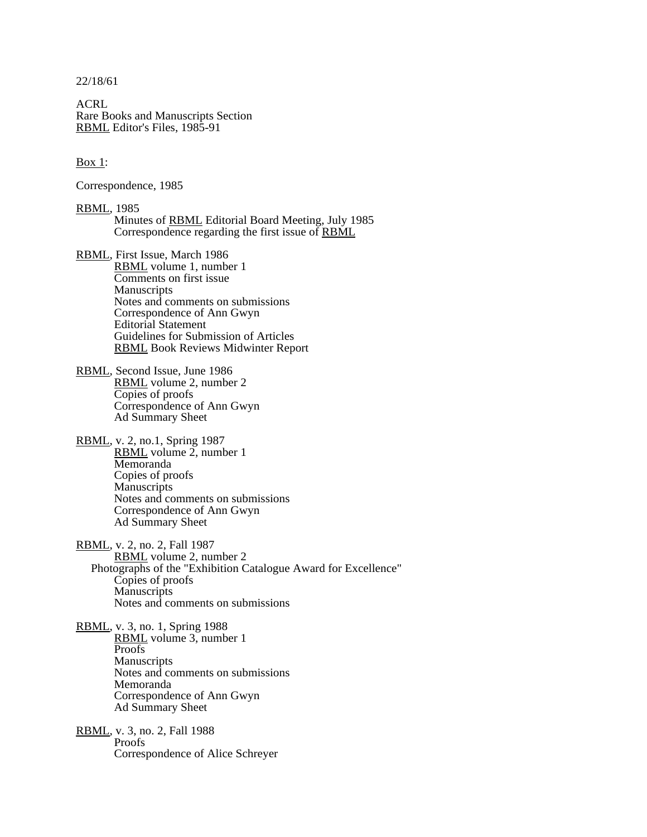22/18/61

ACRL Rare Books and Manuscripts Section RBML Editor's Files, 1985-91

 $\frac{\text{Box 1}}{1}$ :

Correspondence, 1985

RBML, 1985 Minutes of RBML Editorial Board Meeting, July 1985 Correspondence regarding the first issue of **RBML** 

RBML, First Issue, March 1986 RBML volume 1, number 1 Comments on first issue **Manuscripts** Notes and comments on submissions Correspondence of Ann Gwyn Editorial Statement Guidelines for Submission of Articles RBML Book Reviews Midwinter Report

- RBML, Second Issue, June 1986 RBML volume 2, number 2 Copies of proofs Correspondence of Ann Gwyn Ad Summary Sheet
- RBML, v. 2, no.1, Spring 1987 RBML volume  $2$ , number 1 Memoranda Copies of proofs **Manuscripts** Notes and comments on submissions Correspondence of Ann Gwyn Ad Summary Sheet
- RBML, v. 2, no. 2, Fall 1987 RBML volume 2, number 2 Photographs of the "Exhibition Catalogue Award for Excellence" Copies of proofs **Manuscripts** Notes and comments on submissions
- RBML, v. 3, no. 1, Spring 1988 RBML volume 3, number 1 Proofs and the set of the set of the set of the set of the set of the set of the set of the set of the set of the set of the set of the set of the set of the set of the set of the set of the set of the set of the set of th **Manuscripts** Notes and comments on submissions Memoranda Correspondence of Ann Gwyn Ad Summary Sheet

RBML, v. 3, no. 2, Fall 1988<br>Proofs Proofs and the set of the set of the set of the set of the set of the set of the set of the set of the set of the set of the set of the set of the set of the set of the set of the set of the set of the set of the set of th Correspondence of Alice Schreyer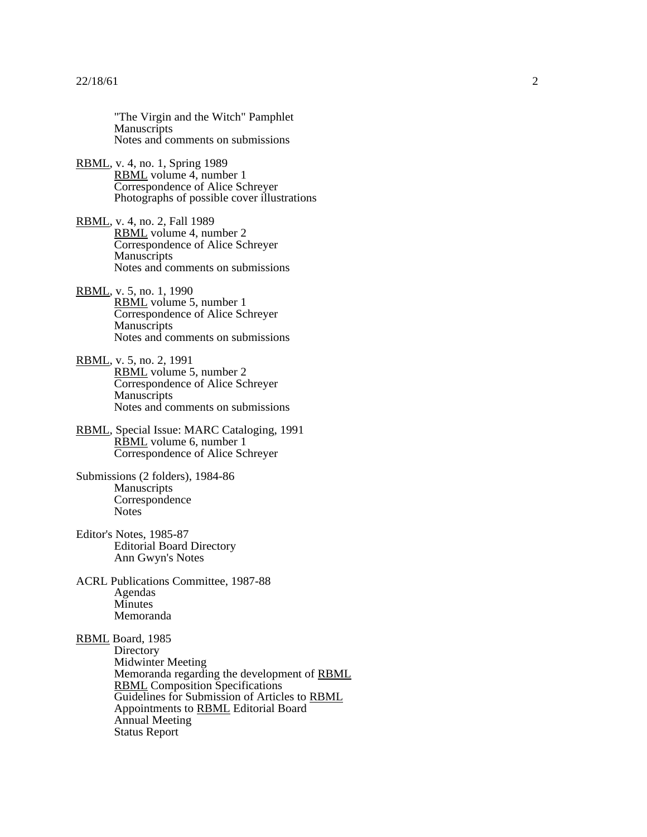"The Virgin and the Witch" Pamphlet<br>Manuscripts<br>Notes and comments on submissions RBML, v. 4, no. 1, Spring 1989<br>
RBML volume 4, number 1<br>
Correspondence of Alice Schreyer<br>
Photographs of possible cover illustrations RBML, v. 4, no. 2, Fall 1989<br>
RBML volume 4, number 2<br>
Correspondence of Alice Schreyer<br>
Manuscripts<br>
Notes and comments on submissions RBML, v. 5, no. 1, 1990<br>
RBML volume 5, number 1<br>
Correspondence of Alice Schreyer<br>
Manuscripts<br>
Notes and comments on submissions RBML, v. 5, no. 2, 1991<br>
RBML volume 5, number 2<br>
Correspondence of Alice Schreyer<br>
Manuscripts<br>
Notes and comments on submissions RBML, Special Issue: MARC Cataloging, 1991<br>
RBML volume 6, number 1<br>
Correspondence of Alice Schreyer Submissions (2 folders), 1984-86<br>Manuscripts<br>Correspondence<br>Notes Editor's Notes, 1985-87<br>Editorial Board Directory<br>Ann Gwyn's Notes ACRL Publications Committee, 1987-88<br>Agendas<br>Minutes<br>Memoranda **RBML** Board, 1985<br>
Directory<br>
Midwinter Meeting<br>
Memoranda regarding the development of <u>RBML</u><br>
<u>RBML</u> Composition Specifications<br>
Guidelines for Submission of Articles to <u>RBML</u><br>
Appointments to <u>RBML</u> Editorial Board<br>
A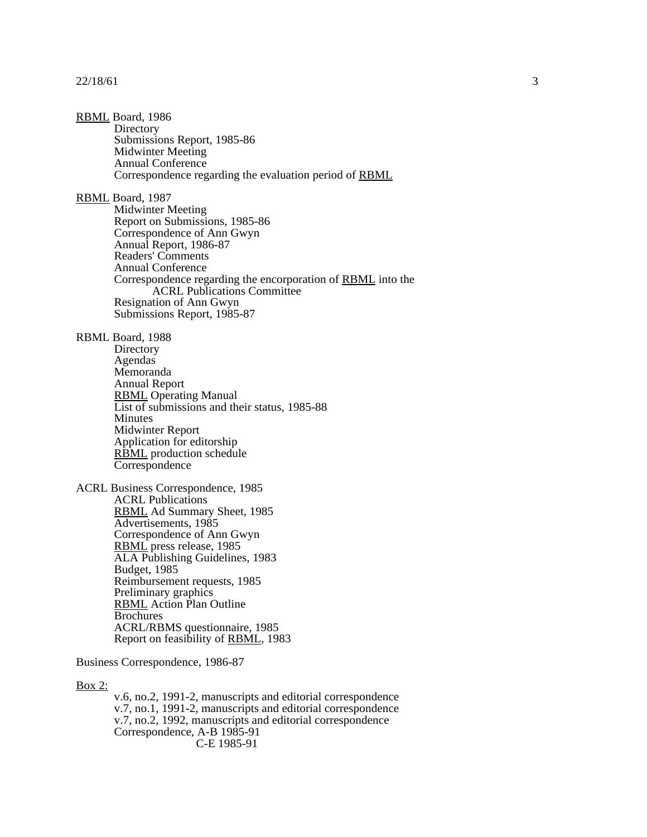## $22/18/61$  3

RBML Board, 1986<br>Directory<br>Submissions Report, 1985-86<br>Midwinter Meeting<br>Annual Conference<br>Correspondence regarding the evaluation period of <u>RBML</u> **RBML** Board, 1987<br>
Midwinter Meeting<br>
Report on Submissions, 1985-86<br>
Correspondence of Ann Gwyn<br>
Annual Report, 1986-87<br>
Readers' Comments<br>
Annual Conference<br>
Correspondence regarding the encorporation of <u>RBML</u> into the RBML Board, 1988<br>
Directory<br>
Agendas<br>
Memoranda<br>
Annual Report<br>
RBML Operating Manual<br>
List of submissions and their status, 1985-88<br>
Minutes<br>
Midwinter Report<br>
Application for editorship<br>
<u>RBML</u> production schedule<br>
Corre ACRL Business Correspondence, 1985<br>ACRL Publications<br>RBML Ad Summary Sheet, 1985<br>Advertisements, 1985<br>Correspondence of Ann Gwyn<br>RBML press release, 1985<br>ALA Publishing Guidelines, 1983<br>Budget, 1985<br>Reinbursement requests, Business Correspondence, 1986-87

Box 2:<br>v.6, no.2, 1991-2, manuscripts and editorial correspondence<br>v.7, no.1, 1991-2, manuscripts and editorial correspondence<br>v.7, no.2, 1992, manuscripts and editorial correspondence<br>Correspondence, A-B 1985-91<br>C-E 1985-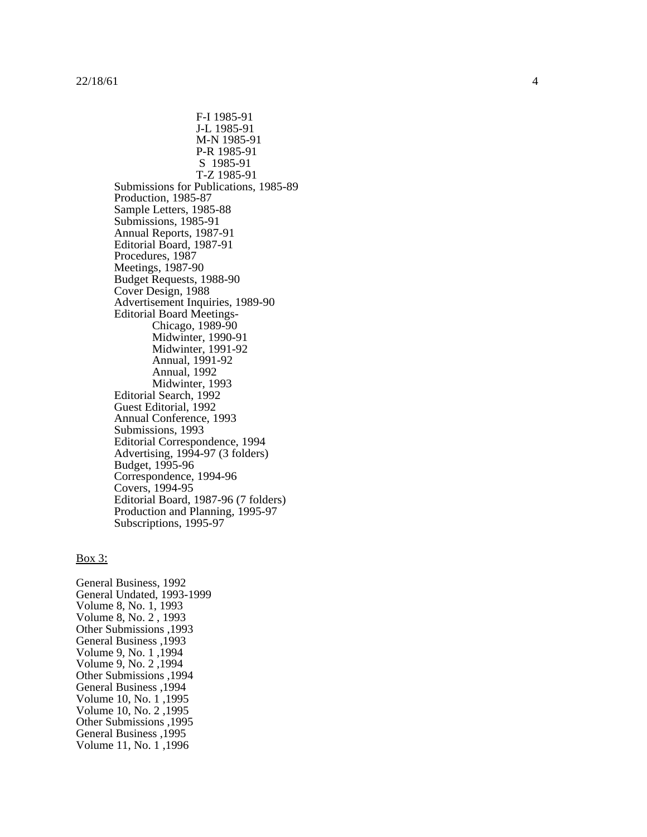F-11985-91<br>
M-N 1985-91<br>
M-N 1985-91<br>
M-N 1985-91<br>
Submissions for Publications, 1985-89<br>
Submissions for Publications, 1985-89<br>
Frachaction, 1985-87<br>
Frachaction, 1985-87<br>
Submissions, 1987-91<br>
Mammalus Bornt, 1987-91<br>
Ma

## $\frac{1}{2}$  Box 3:

General Business, 1992 General Undated, 1993-1999 Volume 8, No. 1, 1993 Volume 8, No. 2 , 1993 Other Submissions ,1993 General Business ,1993 Volume 9, No. 1 ,1994 Volume 9, No. 2 ,1994 Other Submissions ,1994 General Business ,1994 Volume 10, No. 1 ,1995 Volume 10, No. 2 ,1995 Other Submissions ,1995 General Business ,1995 Volume 11, No. 1 ,1996